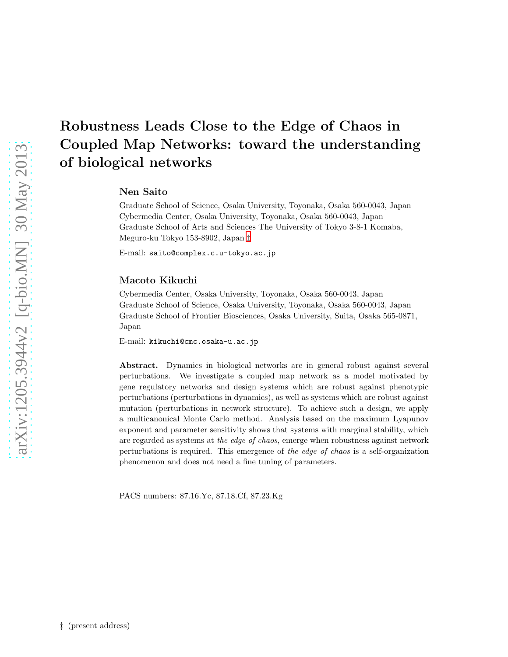# Robustness Leads Close to the Edge of Chaos in Coupled Map Networks: toward the understanding of biological networks

## Nen Saito

Graduate School of Science, Osaka University, Toyonaka, Osaka 560-0043, Japan Cybermedia Center, Osaka University, Toyonaka, Osaka 560-0043, Japan Graduate School of Arts and Sciences The University of Tokyo 3-8-1 Komaba, Meguro-ku Tokyo 153-8902, Japan [‡](#page-0-0)

E-mail: saito@complex.c.u-tokyo.ac.jp

#### Macoto Kikuchi

Cybermedia Center, Osaka University, Toyonaka, Osaka 560-0043, Japan Graduate School of Science, Osaka University, Toyonaka, Osaka 560-0043, Japan Graduate School of Frontier Biosciences, Osaka University, Suita, Osaka 565-0871, Japan

E-mail: kikuchi@cmc.osaka-u.ac.jp

Abstract. Dynamics in biological networks are in general robust against several perturbations. We investigate a coupled map network as a model motivated by gene regulatory networks and design systems which are robust against phenotypic perturbations (perturbations in dynamics), as well as systems which are robust against mutation (perturbations in network structure). To achieve such a design, we apply a multicanonical Monte Carlo method. Analysis based on the maximum Lyapunov exponent and parameter sensitivity shows that systems with marginal stability, which are regarded as systems at *the edge of chaos*, emerge when robustness against network perturbations is required. This emergence of *the edge of chaos* is a self-organization phenomenon and does not need a fine tuning of parameters.

<span id="page-0-0"></span>PACS numbers: 87.16.Yc, 87.18.Cf, 87.23.Kg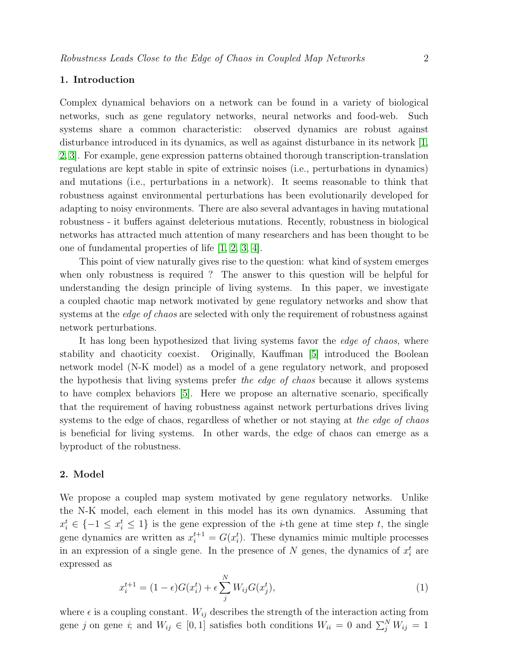#### 1. Introduction

Complex dynamical behaviors on a network can be found in a variety of biological networks, such as gene regulatory networks, neural networks and food-web. Such systems share a common characteristic: observed dynamics are robust against disturbance introduced in its dynamics, as well as against disturbance in its network [\[1,](#page-7-0) [2,](#page-7-1) [3\]](#page-7-2). For example, gene expression patterns obtained thorough transcription-translation regulations are kept stable in spite of extrinsic noises (i.e., perturbations in dynamics) and mutations (i.e., perturbations in a network). It seems reasonable to think that robustness against environmental perturbations has been evolutionarily developed for adapting to noisy environments. There are also several advantages in having mutational robustness - it buffers against deleterious mutations. Recently, robustness in biological networks has attracted much attention of many researchers and has been thought to be one of fundamental properties of life [\[1,](#page-7-0) [2,](#page-7-1) [3,](#page-7-2) [4\]](#page-7-3).

This point of view naturally gives rise to the question: what kind of system emerges when only robustness is required ? The answer to this question will be helpful for understanding the design principle of living systems. In this paper, we investigate a coupled chaotic map network motivated by gene regulatory networks and show that systems at the *edge of chaos* are selected with only the requirement of robustness against network perturbations.

It has long been hypothesized that living systems favor the edge of chaos, where stability and chaoticity coexist. Originally, Kauffman [\[5\]](#page-7-4) introduced the Boolean network model (N-K model) as a model of a gene regulatory network, and proposed the hypothesis that living systems prefer the edge of chaos because it allows systems to have complex behaviors [\[5\]](#page-7-4). Here we propose an alternative scenario, specifically that the requirement of having robustness against network perturbations drives living systems to the edge of chaos, regardless of whether or not staying at the edge of chaos is beneficial for living systems. In other wards, the edge of chaos can emerge as a byproduct of the robustness.

#### 2. Model

We propose a coupled map system motivated by gene regulatory networks. Unlike the N-K model, each element in this model has its own dynamics. Assuming that  $x_i^t \in \{-1 \le x_i^t \le 1\}$  is the gene expression of the *i*-th gene at time step *t*, the single gene dynamics are written as  $x_i^{t+1} = G(x_i^t)$ . These dynamics mimic multiple processes in an expression of a single gene. In the presence of N genes, the dynamics of  $x_i^t$  are expressed as

<span id="page-1-0"></span>
$$
x_i^{t+1} = (1 - \epsilon)G(x_i^t) + \epsilon \sum_j^N W_{ij}G(x_j^t),
$$
\n(1)

where  $\epsilon$  is a coupling constant.  $W_{ij}$  describes the strength of the interaction acting from gene j on gene i; and  $W_{ij} \in [0,1]$  satisfies both conditions  $W_{ii} = 0$  and  $\sum_j^N W_{ij} = 1$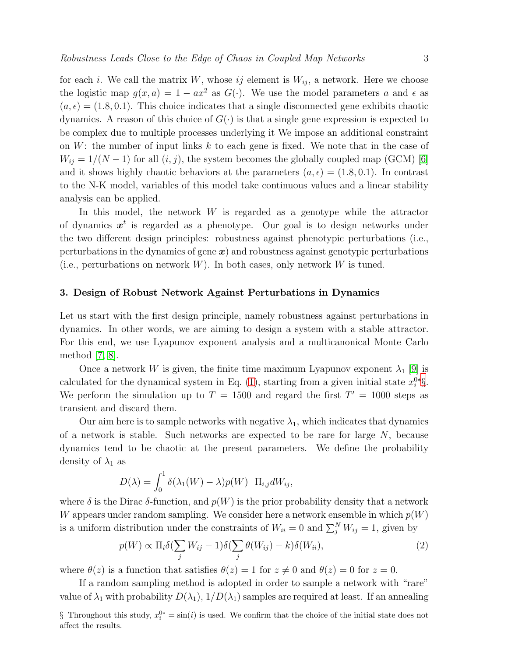for each i. We call the matrix W, whose ij element is  $W_{ij}$ , a network. Here we choose the logistic map  $g(x, a) = 1 - ax^2$  as  $G(\cdot)$ . We use the model parameters a and  $\epsilon$  as  $(a, \epsilon) = (1.8, 0.1)$ . This choice indicates that a single disconnected gene exhibits chaotic dynamics. A reason of this choice of  $G(\cdot)$  is that a single gene expression is expected to be complex due to multiple processes underlying it We impose an additional constraint on  $W$ : the number of input links k to each gene is fixed. We note that in the case of  $W_{ij} = 1/(N-1)$  for all  $(i, j)$ , the system becomes the globally coupled map (GCM) [\[6\]](#page-7-5) and it shows highly chaotic behaviors at the parameters  $(a, \epsilon) = (1.8, 0.1)$ . In contrast to the N-K model, variables of this model take continuous values and a linear stability analysis can be applied.

In this model, the network  $W$  is regarded as a genotype while the attractor of dynamics  $x^t$  is regarded as a phenotype. Our goal is to design networks under the two different design principles: robustness against phenotypic perturbations (i.e., perturbations in the dynamics of gene  $x$ ) and robustness against genotypic perturbations (i.e., perturbations on network  $W$ ). In both cases, only network  $W$  is tuned.

#### 3. Design of Robust Network Against Perturbations in Dynamics

Let us start with the first design principle, namely robustness against perturbations in dynamics. In other words, we are aiming to design a system with a stable attractor. For this end, we use Lyapunov exponent analysis and a multicanonical Monte Carlo method [\[7,](#page-7-6) [8\]](#page-7-7).

Once a network W is given, the finite time maximum Lyapunov exponent  $\lambda_1$  [\[9\]](#page-7-8) is calculated for the dynamical system in Eq. [\(1\)](#page-1-0), starting from a given initial state  $x_i^{0*}\S$ . We perform the simulation up to  $T = 1500$  and regard the first  $T' = 1000$  steps as transient and discard them.

Our aim here is to sample networks with negative  $\lambda_1$ , which indicates that dynamics of a network is stable. Such networks are expected to be rare for large  $N$ , because dynamics tend to be chaotic at the present parameters. We define the probability density of  $\lambda_1$  as

$$
D(\lambda) = \int_0^1 \delta(\lambda_1(W) - \lambda) p(W) \Pi_{i,j} dW_{ij},
$$

where  $\delta$  is the Dirac  $\delta$ -function, and  $p(W)$  is the prior probability density that a network W appears under random sampling. We consider here a network ensemble in which  $p(W)$ is a uniform distribution under the constraints of  $W_{ii} = 0$  and  $\sum_{j}^{N} W_{ij} = 1$ , given by

$$
p(W) \propto \Pi_i \delta(\sum_j W_{ij} - 1) \delta(\sum_j \theta(W_{ij}) - k) \delta(W_{ii}), \tag{2}
$$

where  $\theta(z)$  is a function that satisfies  $\theta(z) = 1$  for  $z \neq 0$  and  $\theta(z) = 0$  for  $z = 0$ .

If a random sampling method is adopted in order to sample a network with "rare" value of  $\lambda_1$  with probability  $D(\lambda_1)$ ,  $1/D(\lambda_1)$  samples are required at least. If an annealing

<span id="page-2-0"></span><sup>§</sup> Throughout this study,  $x_i^{0*} = \sin(i)$  is used. We confirm that the choice of the initial state does not affect the results.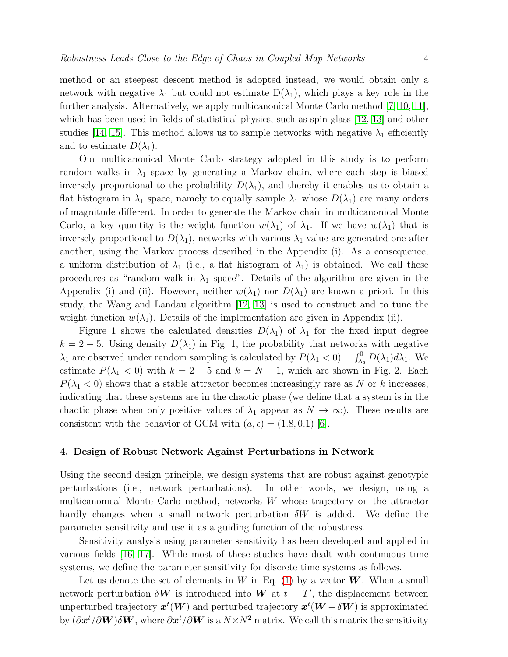method or an steepest descent method is adopted instead, we would obtain only a network with negative  $\lambda_1$  but could not estimate  $D(\lambda_1)$ , which plays a key role in the further analysis. Alternatively, we apply multicanonical Monte Carlo method [\[7,](#page-7-6) [10,](#page-7-9) [11\]](#page-7-10), which has been used in fields of statistical physics, such as spin glass [\[12,](#page-7-11) [13\]](#page-7-12) and other studies [\[14,](#page-7-13) [15\]](#page-7-14). This method allows us to sample networks with negative  $\lambda_1$  efficiently

and to estimate  $D(\lambda_1)$ .

Our multicanonical Monte Carlo strategy adopted in this study is to perform random walks in  $\lambda_1$  space by generating a Markov chain, where each step is biased inversely proportional to the probability  $D(\lambda_1)$ , and thereby it enables us to obtain a flat histogram in  $\lambda_1$  space, namely to equally sample  $\lambda_1$  whose  $D(\lambda_1)$  are many orders of magnitude different. In order to generate the Markov chain in multicanonical Monte Carlo, a key quantity is the weight function  $w(\lambda_1)$  of  $\lambda_1$ . If we have  $w(\lambda_1)$  that is inversely proportional to  $D(\lambda_1)$ , networks with various  $\lambda_1$  value are generated one after another, using the Markov process described in the Appendix (i). As a consequence, a uniform distribution of  $\lambda_1$  (i.e., a flat histogram of  $\lambda_1$ ) is obtained. We call these procedures as "random walk in  $\lambda_1$  space". Details of the algorithm are given in the Appendix (i) and (ii). However, neither  $w(\lambda_1)$  nor  $D(\lambda_1)$  are known a priori. In this study, the Wang and Landau algorithm [\[12,](#page-7-11) [13\]](#page-7-12) is used to construct and to tune the weight function  $w(\lambda_1)$ . Details of the implementation are given in Appendix (ii).

Figure 1 shows the calculated densities  $D(\lambda_1)$  of  $\lambda_1$  for the fixed input degree  $k = 2 - 5$ . Using density  $D(\lambda_1)$  in Fig. 1, the probability that networks with negative  $\lambda_1$  are observed under random sampling is calculated by  $P(\lambda_1 < 0) = \int_{\lambda_a}^0 D(\lambda_1) d\lambda_1$ . We estimate  $P(\lambda_1 < 0)$  with  $k = 2 - 5$  and  $k = N - 1$ , which are shown in Fig. 2. Each  $P(\lambda_1 < 0)$  shows that a stable attractor becomes increasingly rare as N or k increases, indicating that these systems are in the chaotic phase (we define that a system is in the chaotic phase when only positive values of  $\lambda_1$  appear as  $N \to \infty$ ). These results are consistent with the behavior of GCM with  $(a, \epsilon) = (1.8, 0.1)$  [\[6\]](#page-7-5).

#### 4. Design of Robust Network Against Perturbations in Network

Using the second design principle, we design systems that are robust against genotypic perturbations (i.e., network perturbations). In other words, we design, using a multicanonical Monte Carlo method, networks W whose trajectory on the attractor hardly changes when a small network perturbation  $\delta W$  is added. We define the parameter sensitivity and use it as a guiding function of the robustness.

Sensitivity analysis using parameter sensitivity has been developed and applied in various fields [\[16,](#page-7-15) [17\]](#page-7-16). While most of these studies have dealt with continuous time systems, we define the parameter sensitivity for discrete time systems as follows.

Let us denote the set of elements in W in Eq. [\(1\)](#page-1-0) by a vector  $W$ . When a small network perturbation  $\delta W$  is introduced into W at  $t = T'$ , the displacement between unperturbed trajectory  $\bm{x}^t(\bm{W})$  and perturbed trajectory  $\bm{x}^t(\bm{W}+\delta \bm{W})$  is approximated by  $(\partial x^t/\partial W)\delta W$ , where  $\partial x^t/\partial W$  is a  $N\times N^2$  matrix. We call this matrix the sensitivity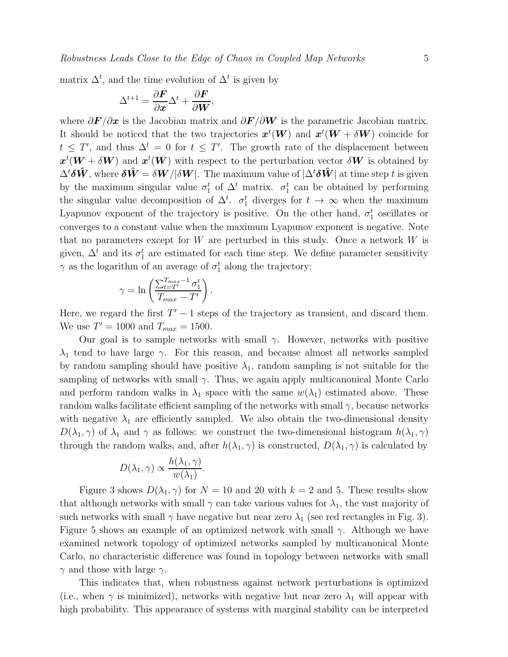matrix  $\Delta^t$ , and the time evolution of  $\Delta^t$  is given by

$$
\Delta^{t+1} = \frac{\partial \boldsymbol{F}}{\partial \boldsymbol{x}} \Delta^t + \frac{\partial \boldsymbol{F}}{\partial \boldsymbol{W}},
$$

where  $\partial \mathbf{F}/\partial \mathbf{x}$  is the Jacobian matrix and  $\partial \mathbf{F}/\partial \mathbf{W}$  is the parametric Jacobian matrix. It should be noticed that the two trajectories  $\mathbf{z}^t(\boldsymbol{W})$  and  $\mathbf{z}^t(\boldsymbol{W} + \delta \boldsymbol{W})$  coincide for  $t \leq T'$ , and thus  $\Delta^t = 0$  for  $t \leq T'$ . The growth rate of the displacement between  $x^t(W + \delta W)$  and  $x^t(W)$  with respect to the perturbation vector  $\delta W$  is obtained by  $\Delta^t \delta \hat{W}$ , where  $\delta \hat{W} = \delta W / |\delta W|$ . The maximum value of  $|\Delta^t \delta \hat{W}|$  at time step t is given by the maximum singular value  $\sigma_1^t$  of  $\Delta^t$  matrix.  $\sigma_1^t$  can be obtained by performing the singular value decomposition of  $\Delta^t$ .  $\sigma_1^t$  diverges for  $t \to \infty$  when the maximum Lyapunov exponent of the trajectory is positive. On the other hand,  $\sigma_1^t$  oscillates or converges to a constant value when the maximum Lyapunov exponent is negative. Note that no parameters except for  $W$  are perturbed in this study. Once a network  $W$  is given,  $\Delta^t$  and its  $\sigma_1^t$  are estimated for each time step. We define parameter sensitivity  $\gamma$  as the logarithm of an average of  $\sigma_1^t$  along the trajectory:

$$
\gamma = \ln \left( \frac{\sum_{t=T'}^{T_{max}-1} \sigma_1^t}{T_{max} - T'} \right).
$$

Here, we regard the first  $T' - 1$  steps of the trajectory as transient, and discard them. We use  $T' = 1000$  and  $T_{max} = 1500$ .

Our goal is to sample networks with small  $\gamma$ . However, networks with positive  $\lambda_1$  tend to have large  $\gamma$ . For this reason, and because almost all networks sampled by random sampling should have positive  $\lambda_1$ , random sampling is not suitable for the sampling of networks with small  $\gamma$ . Thus, we again apply multicanonical Monte Carlo and perform random walks in  $\lambda_1$  space with the same  $w(\lambda_1)$  estimated above. These random walks facilitate efficient sampling of the networks with small  $\gamma$ , because networks with negative  $\lambda_1$  are efficiently sampled. We also obtain the two-dimensional density  $D(\lambda_1, \gamma)$  of  $\lambda_1$  and  $\gamma$  as follows: we construct the two-dimensional histogram  $h(\lambda_1, \gamma)$ through the random walks, and, after  $h(\lambda_1, \gamma)$  is constructed,  $D(\lambda_1, \gamma)$  is calculated by

$$
D(\lambda_1, \gamma) \propto \frac{h(\lambda_1, \gamma)}{w(\lambda_1)}.
$$

Figure 3 shows  $D(\lambda_1, \gamma)$  for  $N = 10$  and 20 with  $k = 2$  and 5. These results show that although networks with small  $\gamma$  can take various values for  $\lambda_1$ , the vast majority of such networks with small  $\gamma$  have negative but near zero  $\lambda_1$  (see red rectangles in Fig. 3). Figure 5 shows an example of an optimized network with small  $\gamma$ . Although we have examined network topology of optimized networks sampled by multicanonical Monte Carlo, no characteristic difference was found in topology between networks with small  $\gamma$  and those with large  $\gamma$ .

This indicates that, when robustness against network perturbations is optimized (i.e., when  $\gamma$  is minimized), networks with negative but near zero  $\lambda_1$  will appear with high probability. This appearance of systems with marginal stability can be interpreted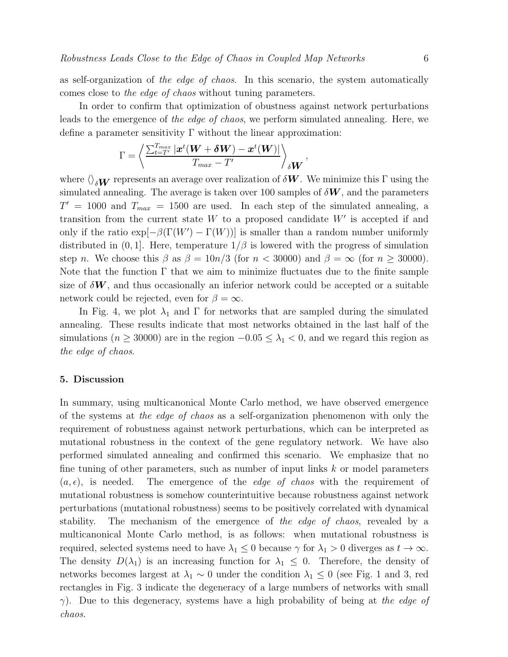as self-organization of the edge of chaos. In this scenario, the system automatically comes close to the edge of chaos without tuning parameters.

In order to confirm that optimization of obustness against network perturbations leads to the emergence of the edge of chaos, we perform simulated annealing. Here, we define a parameter sensitivity  $\Gamma$  without the linear approximation:

$$
\Gamma = \left\langle \frac{\sum_{t=T'}^{T_{max}} |\boldsymbol{x}^t(\boldsymbol{W} + \boldsymbol{\delta W}) - \boldsymbol{x}^t(\boldsymbol{W})|}{T_{max} - T'} \right\rangle_{\boldsymbol{\delta W}},
$$

where  $\langle \rangle_{\delta W}$  represents an average over realization of  $\delta W$ . We minimize this Γ using the simulated annealing. The average is taken over 100 samples of  $\delta W$ , and the parameters  $T' = 1000$  and  $T_{max} = 1500$  are used. In each step of the simulated annealing, a transition from the current state  $W$  to a proposed candidate  $W'$  is accepted if and only if the ratio  $\exp[-\beta(\Gamma(W') - \Gamma(W))]$  is smaller than a random number uniformly distributed in  $(0, 1]$ . Here, temperature  $1/\beta$  is lowered with the progress of simulation step n. We choose this  $\beta$  as  $\beta = 10n/3$  (for  $n < 30000$ ) and  $\beta = \infty$  (for  $n \ge 30000$ ). Note that the function  $\Gamma$  that we aim to minimize fluctuates due to the finite sample size of  $\delta W$ , and thus occasionally an inferior network could be accepted or a suitable network could be rejected, even for  $\beta = \infty$ .

In Fig. 4, we plot  $\lambda_1$  and  $\Gamma$  for networks that are sampled during the simulated annealing. These results indicate that most networks obtained in the last half of the simulations ( $n \geq 30000$ ) are in the region  $-0.05 \leq \lambda_1 < 0$ , and we regard this region as the edge of chaos.

#### 5. Discussion

In summary, using multicanonical Monte Carlo method, we have observed emergence of the systems at the edge of chaos as a self-organization phenomenon with only the requirement of robustness against network perturbations, which can be interpreted as mutational robustness in the context of the gene regulatory network. We have also performed simulated annealing and confirmed this scenario. We emphasize that no fine tuning of other parameters, such as number of input links k or model parameters  $(a, \epsilon)$ , is needed. The emergence of the *edge of chaos* with the requirement of mutational robustness is somehow counterintuitive because robustness against network perturbations (mutational robustness) seems to be positively correlated with dynamical stability. The mechanism of the emergence of the edge of chaos, revealed by a multicanonical Monte Carlo method, is as follows: when mutational robustness is required, selected systems need to have  $\lambda_1 \leq 0$  because  $\gamma$  for  $\lambda_1 > 0$  diverges as  $t \to \infty$ . The density  $D(\lambda_1)$  is an increasing function for  $\lambda_1 \leq 0$ . Therefore, the density of networks becomes largest at  $\lambda_1 \sim 0$  under the condition  $\lambda_1 \leq 0$  (see Fig. 1 and 3, red rectangles in Fig. 3 indicate the degeneracy of a large numbers of networks with small  $\gamma$ ). Due to this degeneracy, systems have a high probability of being at the edge of chaos.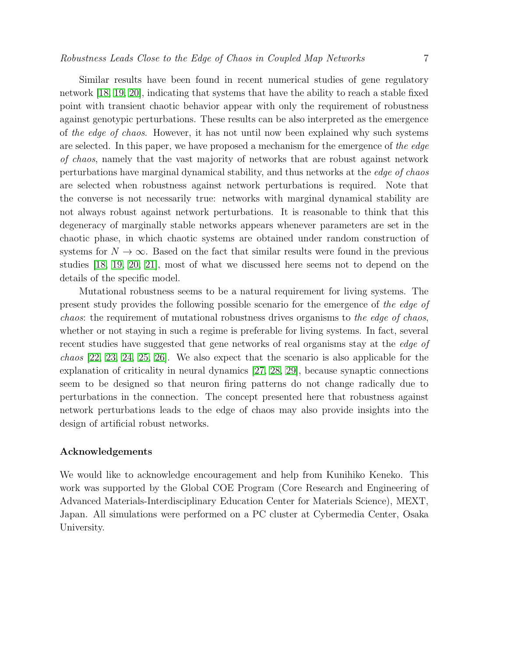Similar results have been found in recent numerical studies of gene regulatory network [\[18,](#page-7-17) [19,](#page-7-18) [20\]](#page-7-19), indicating that systems that have the ability to reach a stable fixed point with transient chaotic behavior appear with only the requirement of robustness against genotypic perturbations. These results can be also interpreted as the emergence of the edge of chaos. However, it has not until now been explained why such systems are selected. In this paper, we have proposed a mechanism for the emergence of the edge of chaos, namely that the vast majority of networks that are robust against network perturbations have marginal dynamical stability, and thus networks at the edge of chaos are selected when robustness against network perturbations is required. Note that the converse is not necessarily true: networks with marginal dynamical stability are not always robust against network perturbations. It is reasonable to think that this degeneracy of marginally stable networks appears whenever parameters are set in the chaotic phase, in which chaotic systems are obtained under random construction of systems for  $N \to \infty$ . Based on the fact that similar results were found in the previous studies [\[18,](#page-7-17) [19,](#page-7-18) [20,](#page-7-19) [21\]](#page-7-20), most of what we discussed here seems not to depend on the details of the specific model.

Mutational robustness seems to be a natural requirement for living systems. The present study provides the following possible scenario for the emergence of the edge of chaos: the requirement of mutational robustness drives organisms to the edge of chaos, whether or not staying in such a regime is preferable for living systems. In fact, several recent studies have suggested that gene networks of real organisms stay at the *edge of* chaos [\[22,](#page-7-21) [23,](#page-7-22) [24,](#page-7-23) [25,](#page-8-0) [26\]](#page-8-1). We also expect that the scenario is also applicable for the explanation of criticality in neural dynamics [\[27,](#page-8-2) [28,](#page-8-3) [29\]](#page-8-4), because synaptic connections seem to be designed so that neuron firing patterns do not change radically due to perturbations in the connection. The concept presented here that robustness against network perturbations leads to the edge of chaos may also provide insights into the design of artificial robust networks.

#### Acknowledgements

We would like to acknowledge encouragement and help from Kunihiko Keneko. This work was supported by the Global COE Program (Core Research and Engineering of Advanced Materials-Interdisciplinary Education Center for Materials Science), MEXT, Japan. All simulations were performed on a PC cluster at Cybermedia Center, Osaka University.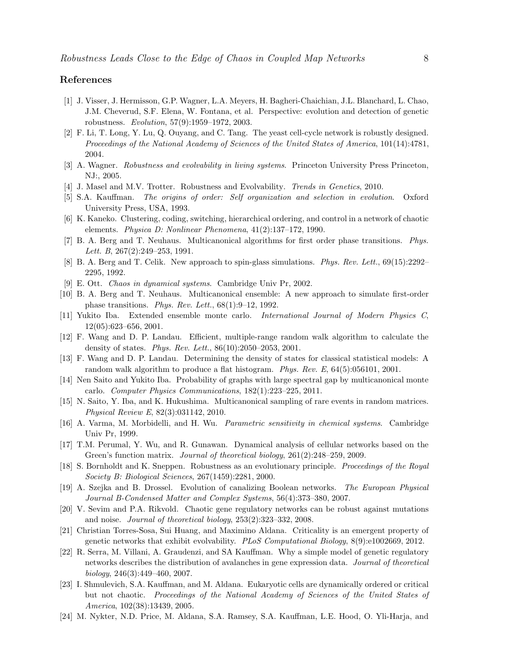#### <span id="page-7-0"></span>References

- [1] J. Visser, J. Hermisson, G.P. Wagner, L.A. Meyers, H. Bagheri-Chaichian, J.L. Blanchard, L. Chao, J.M. Cheverud, S.F. Elena, W. Fontana, et al. Perspective: evolution and detection of genetic robustness. *Evolution*, 57(9):1959–1972, 2003.
- <span id="page-7-1"></span>[2] F. Li, T. Long, Y. Lu, Q. Ouyang, and C. Tang. The yeast cell-cycle network is robustly designed. *Proceedings of the National Academy of Sciences of the United States of America*, 101(14):4781, 2004.
- <span id="page-7-3"></span><span id="page-7-2"></span>[3] A. Wagner. *Robustness and evolvability in living systems*. Princeton University Press Princeton, NJ:, 2005.
- <span id="page-7-4"></span>[4] J. Masel and M.V. Trotter. Robustness and Evolvability. *Trends in Genetics*, 2010.
- <span id="page-7-5"></span>[5] S.A. Kauffman. *The origins of order: Self organization and selection in evolution*. Oxford University Press, USA, 1993.
- <span id="page-7-6"></span>[6] K. Kaneko. Clustering, coding, switching, hierarchical ordering, and control in a network of chaotic elements. *Physica D: Nonlinear Phenomena*, 41(2):137–172, 1990.
- <span id="page-7-7"></span>[7] B. A. Berg and T. Neuhaus. Multicanonical algorithms for first order phase transitions. *Phys. Lett. B*, 267(2):249–253, 1991.
- <span id="page-7-8"></span>[8] B. A. Berg and T. Celik. New approach to spin-glass simulations. *Phys. Rev. Lett.*, 69(15):2292– 2295, 1992.
- <span id="page-7-9"></span>[9] E. Ott. *Chaos in dynamical systems*. Cambridge Univ Pr, 2002.
- <span id="page-7-10"></span>[10] B. A. Berg and T. Neuhaus. Multicanonical ensemble: A new approach to simulate first-order phase transitions. *Phys. Rev. Lett.*, 68(1):9–12, 1992.
- <span id="page-7-11"></span>[11] Yukito Iba. Extended ensemble monte carlo. *International Journal of Modern Physics C*, 12(05):623–656, 2001.
- <span id="page-7-12"></span>[12] F. Wang and D. P. Landau. Efficient, multiple-range random walk algorithm to calculate the density of states. *Phys. Rev. Lett.*, 86(10):2050–2053, 2001.
- <span id="page-7-13"></span>[13] F. Wang and D. P. Landau. Determining the density of states for classical statistical models: A random walk algorithm to produce a flat histogram. *Phys. Rev. E*, 64(5):056101, 2001.
- <span id="page-7-14"></span>[14] Nen Saito and Yukito Iba. Probability of graphs with large spectral gap by multicanonical monte carlo. *Computer Physics Communications*, 182(1):223–225, 2011.
- <span id="page-7-15"></span>[15] N. Saito, Y. Iba, and K. Hukushima. Multicanonical sampling of rare events in random matrices. *Physical Review E*, 82(3):031142, 2010.
- [16] A. Varma, M. Morbidelli, and H. Wu. *Parametric sensitivity in chemical systems*. Cambridge Univ Pr, 1999.
- <span id="page-7-16"></span>[17] T.M. Perumal, Y. Wu, and R. Gunawan. Dynamical analysis of cellular networks based on the Green's function matrix. *Journal of theoretical biology*, 261(2):248–259, 2009.
- <span id="page-7-18"></span><span id="page-7-17"></span>[18] S. Bornholdt and K. Sneppen. Robustness as an evolutionary principle. *Proceedings of the Royal Society B: Biological Sciences*, 267(1459):2281, 2000.
- [19] A. Szejka and B. Drossel. Evolution of canalizing Boolean networks. *The European Physical Journal B-Condensed Matter and Complex Systems*, 56(4):373–380, 2007.
- <span id="page-7-19"></span>[20] V. Sevim and P.A. Rikvold. Chaotic gene regulatory networks can be robust against mutations and noise. *Journal of theoretical biology*, 253(2):323–332, 2008.
- <span id="page-7-20"></span>[21] Christian Torres-Sosa, Sui Huang, and Maximino Aldana. Criticality is an emergent property of genetic networks that exhibit evolvability. *PLoS Computational Biology*, 8(9):e1002669, 2012.
- <span id="page-7-21"></span>[22] R. Serra, M. Villani, A. Graudenzi, and SA Kauffman. Why a simple model of genetic regulatory networks describes the distribution of avalanches in gene expression data. *Journal of theoretical biology*, 246(3):449–460, 2007.
- <span id="page-7-22"></span>[23] I. Shmulevich, S.A. Kauffman, and M. Aldana. Eukaryotic cells are dynamically ordered or critical but not chaotic. *Proceedings of the National Academy of Sciences of the United States of America*, 102(38):13439, 2005.
- <span id="page-7-23"></span>[24] M. Nykter, N.D. Price, M. Aldana, S.A. Ramsey, S.A. Kauffman, L.E. Hood, O. Yli-Harja, and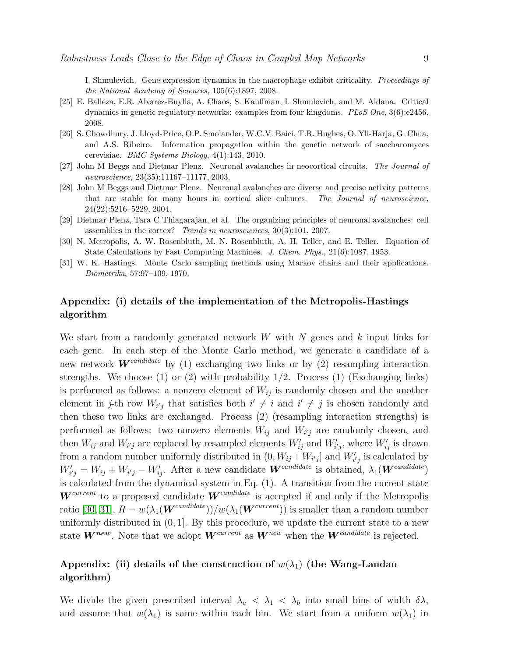I. Shmulevich. Gene expression dynamics in the macrophage exhibit criticality. *Proceedings of the National Academy of Sciences*, 105(6):1897, 2008.

- <span id="page-8-0"></span>[25] E. Balleza, E.R. Alvarez-Buylla, A. Chaos, S. Kauffman, I. Shmulevich, and M. Aldana. Critical dynamics in genetic regulatory networks: examples from four kingdoms. *PLoS One*, 3(6):e2456, 2008.
- <span id="page-8-1"></span>[26] S. Chowdhury, J. Lloyd-Price, O.P. Smolander, W.C.V. Baici, T.R. Hughes, O. Yli-Harja, G. Chua, and A.S. Ribeiro. Information propagation within the genetic network of saccharomyces cerevisiae. *BMC Systems Biology*, 4(1):143, 2010.
- <span id="page-8-3"></span><span id="page-8-2"></span>[27] John M Beggs and Dietmar Plenz. Neuronal avalanches in neocortical circuits. *The Journal of neuroscience*, 23(35):11167–11177, 2003.
- [28] John M Beggs and Dietmar Plenz. Neuronal avalanches are diverse and precise activity patterns that are stable for many hours in cortical slice cultures. *The Journal of neuroscience*, 24(22):5216–5229, 2004.
- <span id="page-8-5"></span><span id="page-8-4"></span>[29] Dietmar Plenz, Tara C Thiagarajan, et al. The organizing principles of neuronal avalanches: cell assemblies in the cortex? *Trends in neurosciences*, 30(3):101, 2007.
- <span id="page-8-6"></span>[30] N. Metropolis, A. W. Rosenbluth, M. N. Rosenbluth, A. H. Teller, and E. Teller. Equation of State Calculations by Fast Computing Machines. *J. Chem. Phys.*, 21(6):1087, 1953.
- [31] W. K. Hastings. Monte Carlo sampling methods using Markov chains and their applications. *Biometrika*, 57:97–109, 1970.

# Appendix: (i) details of the implementation of the Metropolis-Hastings algorithm

We start from a randomly generated network  $W$  with  $N$  genes and  $k$  input links for each gene. In each step of the Monte Carlo method, we generate a candidate of a new network  $\mathbf{W}^{candidate}$  by (1) exchanging two links or by (2) resampling interaction strengths. We choose  $(1)$  or  $(2)$  with probability  $1/2$ . Process  $(1)$  (Exchanging links) is performed as follows: a nonzero element of  $W_{ij}$  is randomly chosen and the another element in *j*-th row  $W_{i'j}$  that satisfies both  $i' \neq i$  and  $i' \neq j$  is chosen randomly and then these two links are exchanged. Process (2) (resampling interaction strengths) is performed as follows: two nonzero elements  $W_{ij}$  and  $W_{i'j}$  are randomly chosen, and then  $W_{ij}$  and  $W_{i'j}$  are replaced by resampled elements  $W'_{ij}$  and  $W'_{i'j}$ , where  $W'_{ij}$  is drawn from a random number uniformly distributed in  $(0, W_{ij} + W_{i'j}]$  and  $W'_{i'j}$  is calculated by  $W'_{i'j} = W_{ij} + W_{i'j} - W'_{ij}$ . After a new candidate  $\boldsymbol{W}^{candidate}$  is obtained,  $\lambda_1(\boldsymbol{W}^{candidate})$ is calculated from the dynamical system in Eq. (1). A transition from the current state  $W^{current}$  to a proposed candidate  $W^{candidate}$  is accepted if and only if the Metropolis ratio [\[30,](#page-8-5) [31\]](#page-8-6),  $R = w(\lambda_1(\mathbf{W}^{candidate})) / w(\lambda_1(\mathbf{W}^{current}))$  is smaller than a random number uniformly distributed in  $(0, 1]$ . By this procedure, we update the current state to a new state  $W^{new}$ . Note that we adopt  $W^{current}$  as  $W^{new}$  when the  $W^{candidate}$  is rejected.

# Appendix: (ii) details of the construction of  $w(\lambda_1)$  (the Wang-Landau algorithm)

We divide the given prescribed interval  $\lambda_a < \lambda_1 < \lambda_b$  into small bins of width  $\delta \lambda$ , and assume that  $w(\lambda_1)$  is same within each bin. We start from a uniform  $w(\lambda_1)$  in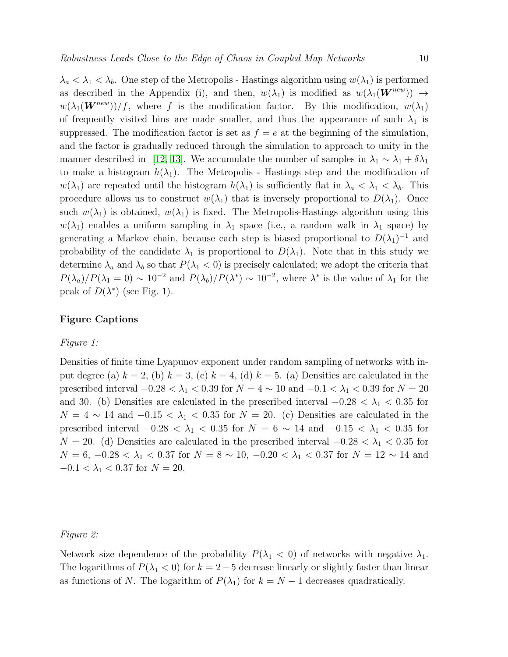$\lambda_a < \lambda_1 < \lambda_b$ . One step of the Metropolis - Hastings algorithm using  $w(\lambda_1)$  is performed as described in the Appendix (i), and then,  $w(\lambda_1)$  is modified as  $w(\lambda_1(\mathbf{W}^{new})) \rightarrow$  $w(\lambda_1(\mathbf{W}^{new}))/f$ , where f is the modification factor. By this modification,  $w(\lambda_1)$ of frequently visited bins are made smaller, and thus the appearance of such  $\lambda_1$  is suppressed. The modification factor is set as  $f = e$  at the beginning of the simulation, and the factor is gradually reduced through the simulation to approach to unity in the manner described in [\[12,](#page-7-11) [13\]](#page-7-12). We accumulate the number of samples in  $\lambda_1 \sim \lambda_1 + \delta \lambda_1$ to make a histogram  $h(\lambda_1)$ . The Metropolis - Hastings step and the modification of  $w(\lambda_1)$  are repeated until the histogram  $h(\lambda_1)$  is sufficiently flat in  $\lambda_a < \lambda_1 < \lambda_b$ . This procedure allows us to construct  $w(\lambda_1)$  that is inversely proportional to  $D(\lambda_1)$ . Once such  $w(\lambda_1)$  is obtained,  $w(\lambda_1)$  is fixed. The Metropolis-Hastings algorithm using this  $w(\lambda_1)$  enables a uniform sampling in  $\lambda_1$  space (i.e., a random walk in  $\lambda_1$  space) by generating a Markov chain, because each step is biased proportional to  $D(\lambda_1)^{-1}$  and probability of the candidate  $\lambda_1$  is proportional to  $D(\lambda_1)$ . Note that in this study we determine  $\lambda_a$  and  $\lambda_b$  so that  $P(\lambda_1 < 0)$  is precisely calculated; we adopt the criteria that  $P(\lambda_a)/P(\lambda_1=0) \sim 10^{-2}$  and  $P(\lambda_b)/P(\lambda^*) \sim 10^{-2}$ , where  $\lambda^*$  is the value of  $\lambda_1$  for the peak of  $D(\lambda^*)$  (see Fig. 1).

### Figure Captions

#### Figure 1:

Densities of finite time Lyapunov exponent under random sampling of networks with input degree (a)  $k = 2$ , (b)  $k = 3$ , (c)  $k = 4$ , (d)  $k = 5$ . (a) Densities are calculated in the prescribed interval  $-0.28 < \lambda_1 < 0.39$  for  $N = 4 \sim 10$  and  $-0.1 < \lambda_1 < 0.39$  for  $N = 20$ and 30. (b) Densities are calculated in the prescribed interval  $-0.28 < \lambda_1 < 0.35$  for  $N = 4 \sim 14$  and  $-0.15 < \lambda_1 < 0.35$  for  $N = 20$ . (c) Densities are calculated in the prescribed interval  $-0.28 < \lambda_1 < 0.35$  for  $N = 6 \sim 14$  and  $-0.15 < \lambda_1 < 0.35$  for  $N = 20$ . (d) Densities are calculated in the prescribed interval  $-0.28 < \lambda_1 < 0.35$  for  $N = 6, -0.28 < \lambda_1 < 0.37$  for  $N = 8 \sim 10, -0.20 < \lambda_1 < 0.37$  for  $N = 12 \sim 14$  and  $-0.1 < \lambda_1 < 0.37$  for  $N = 20$ .

#### Figure 2:

Network size dependence of the probability  $P(\lambda_1 < 0)$  of networks with negative  $\lambda_1$ . The logarithms of  $P(\lambda_1 < 0)$  for  $k = 2-5$  decrease linearly or slightly faster than linear as functions of N. The logarithm of  $P(\lambda_1)$  for  $k = N - 1$  decreases quadratically.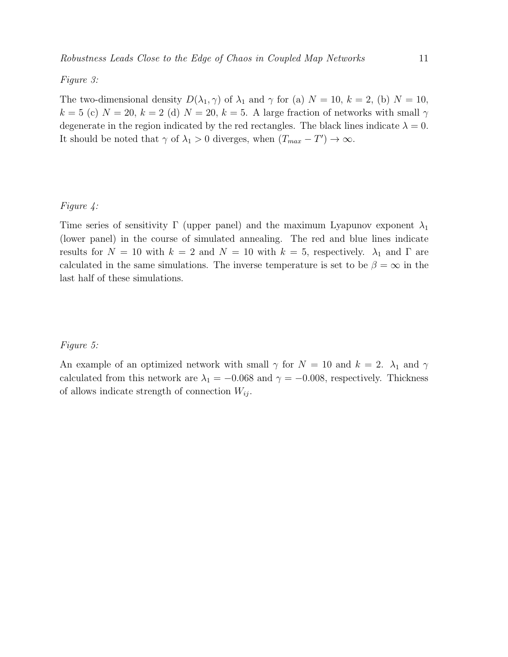#### Figure 3:

The two-dimensional density  $D(\lambda_1, \gamma)$  of  $\lambda_1$  and  $\gamma$  for (a)  $N = 10$ ,  $k = 2$ , (b)  $N = 10$ ,  $k = 5$  (c)  $N = 20$ ,  $k = 2$  (d)  $N = 20$ ,  $k = 5$ . A large fraction of networks with small  $\gamma$ degenerate in the region indicated by the red rectangles. The black lines indicate  $\lambda = 0$ . It should be noted that  $\gamma$  of  $\lambda_1 > 0$  diverges, when  $(T_{max} - T') \to \infty$ .

## Figure 4:

Time series of sensitivity Γ (upper panel) and the maximum Lyapunov exponent  $\lambda_1$ (lower panel) in the course of simulated annealing. The red and blue lines indicate results for  $N = 10$  with  $k = 2$  and  $N = 10$  with  $k = 5$ , respectively.  $\lambda_1$  and  $\Gamma$  are calculated in the same simulations. The inverse temperature is set to be  $\beta = \infty$  in the last half of these simulations.

#### Figure 5:

An example of an optimized network with small  $\gamma$  for  $N = 10$  and  $k = 2$ .  $\lambda_1$  and  $\gamma$ calculated from this network are  $\lambda_1 = -0.068$  and  $\gamma = -0.008$ , respectively. Thickness of allows indicate strength of connection  $W_{ij}$ .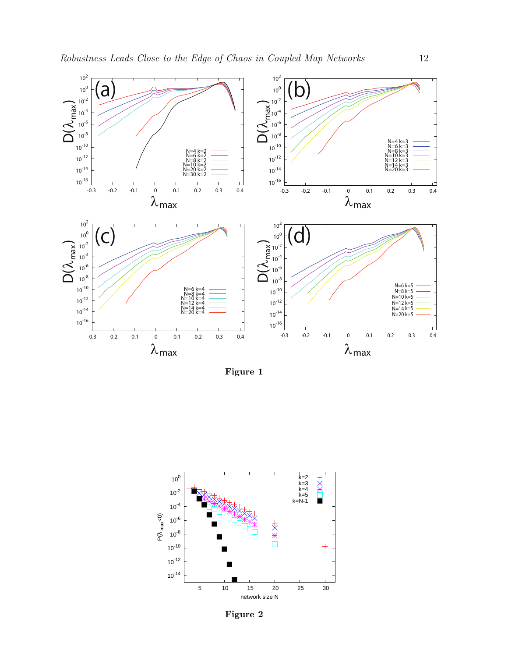

Figure 1



Figure 2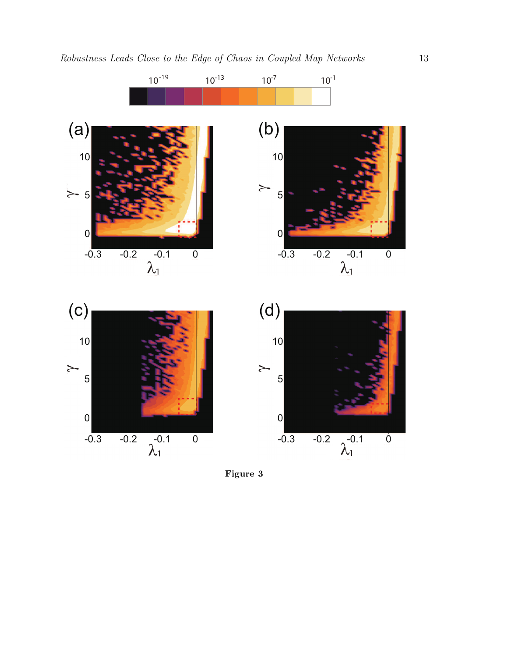

Figure 3